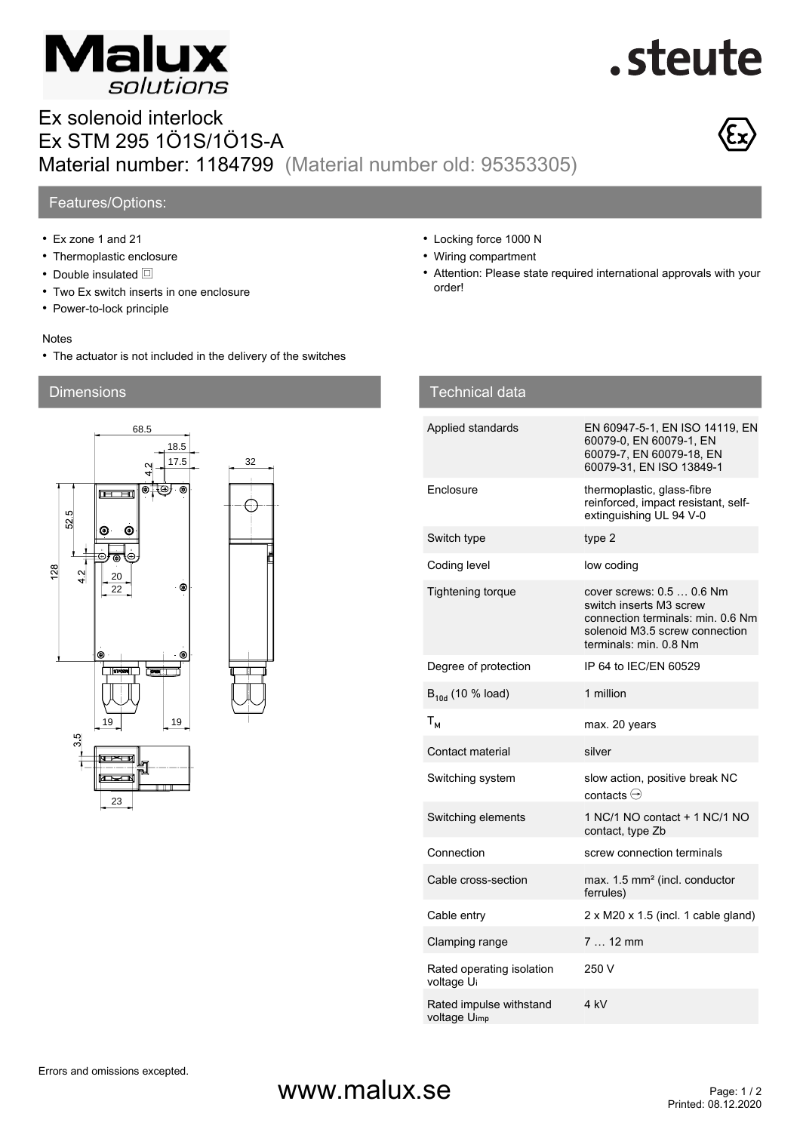

# .steute

### Ex solenoid interlock Ex STM 295 1Ö1S/1Ö1S-A Material number: 1184799 (Material number old: 95353305)



#### Features/Options:

- Ex zone 1 and 21
- Thermoplastic enclosure
- Double insulated  $\Box$
- Two Ex switch inserts in one enclosure
- Power-to-lock principle

#### Notes

• The actuator is not included in the delivery of the switches

#### **Dimensions**



- Locking force 1000 N
- Wiring compartment
- Attention: Please state required international approvals with your order!

| <b>Technical data</b>                   |                                                                                                                                                       |
|-----------------------------------------|-------------------------------------------------------------------------------------------------------------------------------------------------------|
| Applied standards                       | EN 60947-5-1, EN ISO 14119, EN<br>60079-0, EN 60079-1, EN<br>60079-7, EN 60079-18, EN<br>60079-31, EN ISO 13849-1                                     |
| Enclosure                               | thermoplastic, glass-fibre<br>reinforced, impact resistant, self-<br>extinguishing UL 94 V-0                                                          |
| Switch type                             | type 2                                                                                                                                                |
| Coding level                            | low coding                                                                                                                                            |
| <b>Tightening torque</b>                | cover screws: 0.5  0.6 Nm<br>switch inserts M3 screw<br>connection terminals: min. 0.6 Nm<br>solenoid M3.5 screw connection<br>terminals: min. 0.8 Nm |
| Degree of protection                    | IP 64 to IEC/EN 60529                                                                                                                                 |
| $B_{10d}$ (10 % load)                   | 1 million                                                                                                                                             |
| $T_{M}$                                 | max. 20 years                                                                                                                                         |
| Contact material                        | silver                                                                                                                                                |
| Switching system                        | slow action, positive break NC<br>contacts $\ominus$                                                                                                  |
| Switching elements                      | 1 NC/1 NO contact + 1 NC/1 NO<br>contact, type Zb                                                                                                     |
| Connection                              | screw connection terminals                                                                                                                            |
| Cable cross-section                     | max. 1.5 mm <sup>2</sup> (incl. conductor<br>ferrules)                                                                                                |
| Cable entry                             | 2 x M20 x 1.5 (incl. 1 cable gland)                                                                                                                   |
| Clamping range                          | $712$ mm                                                                                                                                              |
| Rated operating isolation<br>voltage Ui | 250 V                                                                                                                                                 |
| Rated impulse withstand<br>voltage Uimp | 4 kV                                                                                                                                                  |

### $www.malux.se$ <br>Printed: 08.12.2020